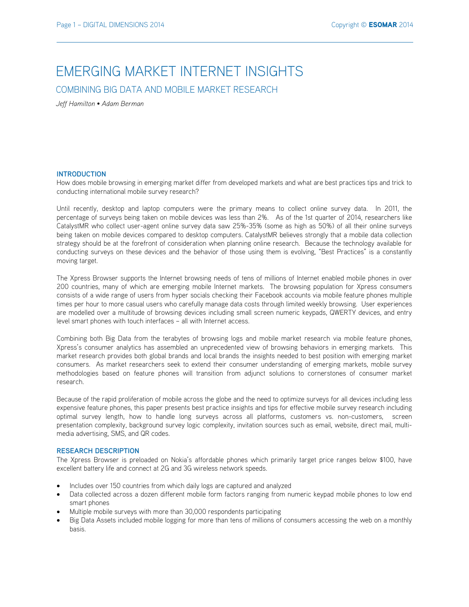# EMERGING MARKET INTERNET INSIGHTS

COMBINING BIG DATA AND MOBILE MARKET RESEARCH

*Jeff Hamilton • Adam Berman* 

## **INTRODUCTION**

How does mobile browsing in emerging market differ from developed markets and what are best practices tips and trick to conducting international mobile survey research?

Until recently, desktop and laptop computers were the primary means to collect online survey data. In 2011, the percentage of surveys being taken on mobile devices was less than 2%. As of the 1st quarter of 2014, researchers like CatalystMR who collect user-agent online survey data saw 25%-35% (some as high as 50%) of all their online surveys being taken on mobile devices compared to desktop computers. CatalystMR believes strongly that a mobile data collection strategy should be at the forefront of consideration when planning online research. Because the technology available for conducting surveys on these devices and the behavior of those using them is evolving, "Best Practices" is a constantly moving target.

The Xpress Browser supports the Internet browsing needs of tens of millions of Internet enabled mobile phones in over 200 countries, many of which are emerging mobile Internet markets. The browsing population for Xpress consumers consists of a wide range of users from hyper socials checking their Facebook accounts via mobile feature phones multiple times per hour to more casual users who carefully manage data costs through limited weekly browsing. User experiences are modelled over a multitude of browsing devices including small screen numeric keypads, QWERTY devices, and entry level smart phones with touch interfaces – all with Internet access.

Combining both Big Data from the terabytes of browsing logs and mobile market research via mobile feature phones, Xpress's consumer analytics has assembled an unprecedented view of browsing behaviors in emerging markets. This market research provides both global brands and local brands the insights needed to best position with emerging market consumers. As market researchers seek to extend their consumer understanding of emerging markets, mobile survey methodologies based on feature phones will transition from adjunct solutions to cornerstones of consumer market research.

Because of the rapid proliferation of mobile across the globe and the need to optimize surveys for all devices including less expensive feature phones, this paper presents best practice insights and tips for effective mobile survey research including optimal survey length, how to handle long surveys across all platforms, customers vs. non-customers, screen presentation complexity, background survey logic complexity, invitation sources such as email, website, direct mail, multimedia advertising, SMS, and QR codes.

## **RESEARCH DESCRIPTION**

The Xpress Browser is preloaded on Nokia's affordable phones which primarily target price ranges below \$100, have excellent battery life and connect at 2G and 3G wireless network speeds.

- Includes over 150 countries from which daily logs are captured and analyzed
- Data collected across a dozen different mobile form factors ranging from numeric keypad mobile phones to low end smart phones
- Multiple mobile surveys with more than 30,000 respondents participating
- Big Data Assets included mobile logging for more than tens of millions of consumers accessing the web on a monthly basis.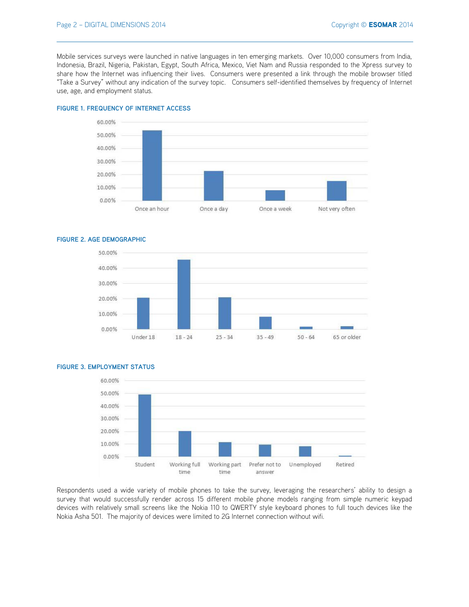Mobile services surveys were launched in native languages in ten emerging markets. Over 10,000 consumers from India, Indonesia, Brazil, Nigeria, Pakistan, Egypt, South Africa, Mexico, Viet Nam and Russia responded to the Xpress survey to share how the Internet was influencing their lives. Consumers were presented a link through the mobile browser titled "Take a Survey" without any indication of the survey topic. Consumers self-identified themselves by frequency of Internet use, age, and employment status.



# **FIGURE 1. FREQUENCY OF INTERNET ACCESS**

#### **FIGURE 2. AGE DEMOGRAPHIC**



# **FIGURE 3. EMPLOYMENT STATUS**



Respondents used a wide variety of mobile phones to take the survey, leveraging the researchers' ability to design a survey that would successfully render across 15 different mobile phone models ranging from simple numeric keypad devices with relatively small screens like the Nokia 110 to QWERTY style keyboard phones to full touch devices like the Nokia Asha 501. The majority of devices were limited to 2G Internet connection without wifi.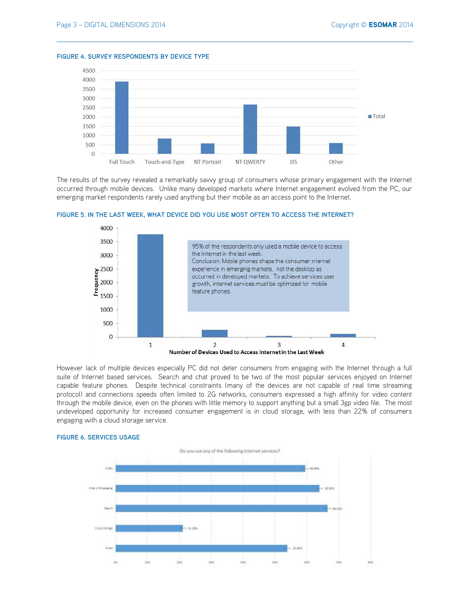#### **FIGURE 4. SURVEY RESPONDENTS BY DEVICE TYPE**



The results of the survey revealed a remarkably savvy group of consumers whose primary engagement with the Internet occurred through mobile devices. Unlike many developed markets where Internet engagement evolved from the PC, our emerging market respondents rarely used anything but their mobile as an access point to the Internet.



# **FIGURE 5. IN THE LAST WEEK, WHAT DEVICE DID YOU USE MOST OFTEN TO ACCESS THE INTERNET?**

However lack of multiple devices especially PC did not deter consumers from engaging with the Internet through a full suite of Internet based services. Search and chat proved to be two of the most popular services enjoyed on Internet capable feature phones. Despite technical constraints (many of the devices are not capable of real time streaming protocol) and connections speeds often limited to 2G networks, consumers expressed a high affinity for video content through the mobile device, even on the phones with little memory to support anything but a small 3gp video file. The most undeveloped opportunity for increased consumer engagement is in cloud storage, with less than 22% of consumers engaging with a cloud storage service.



#### **FIGURE 6. SERVICES USAGE**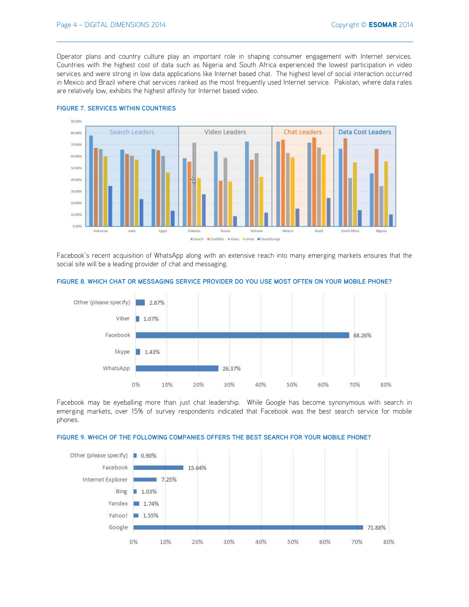Operator plans and country culture play an important role in shaping consumer engagement with Internet services. Countries with the highest cost of data such as Nigeria and South Africa experienced the lowest participation in video services and were strong in low data applications like Internet based chat. The highest level of social interaction occurred in Mexico and Brazil where chat services ranked as the most frequently used Internet service. Pakistan, where data rates are relatively low, exhibits the highest affinity for Internet based video.



#### **FIGURE 7. SERVICES WITHIN COUNTRIES**

Facebook's recent acquisition of WhatsApp along with an extensive reach into many emerging markets ensures that the social site will be a leading provider of chat and messaging.



#### **FIGURE 8. WHICH CHAT OR MESSAGING SERVICE PROVIDER DO YOU USE MOST OFTEN ON YOUR MOBILE PHONE?**

Facebook may be eyeballing more than just chat leadership. While Google has become synonymous with search in emerging markets, over 15% of survey respondents indicated that Facebook was the best search service for mobile phones.



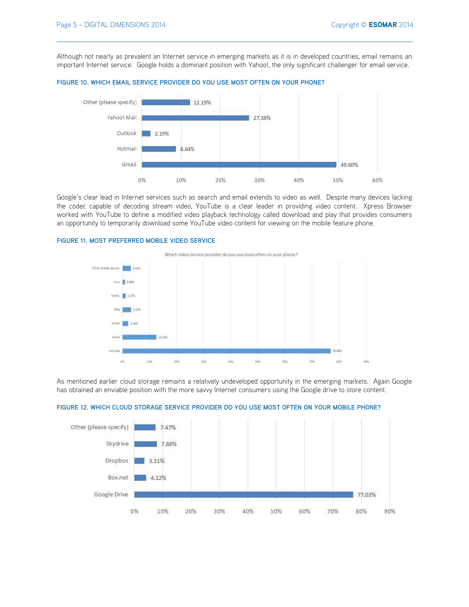Although not nearly as prevalent an Internet service in emerging markets as it is in developed countries, email remains an important Internet service. Google holds a dominant position with Yahoo!, the only significant challenger for email service.





Google's clear lead in Internet services such as search and email extends to video as well. Despite many devices lacking the codec capable of decoding stream video, YouTube is a clear leader in providing video content. Xpress Browser worked with YouTube to define a modified video playback technology called download and play that provides consumers an opportunity to temporarily download some YouTube video content for viewing on the mobile feature phone.

# **FIGURE 11. MOST PREFERRED MOBILE VIDEO SERVICE**

Which video service provider do you use most often on your phone?



As mentioned earlier cloud storage remains a relatively undeveloped opportunity in the emerging markets. Again Google has obtained an enviable position with the more savvy Internet consumers using the Google drive to store content.



**FIGURE 12. WHICH CLOUD STORAGE SERVICE PROVIDER DO YOU USE MOST OFTEN ON YOUR MOBILE PHONE?**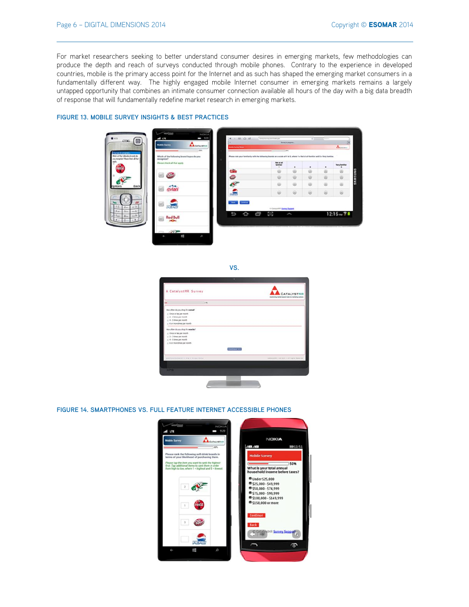For market researchers seeking to better understand consumer desires in emerging markets, few methodologies can produce the depth and reach of surveys conducted through mobile phones. Contrary to the experience in developed countries, mobile is the primary access point for the Internet and as such has shaped the emerging market consumers in a fundamentally different way. The highly engaged mobile Internet consumer in emerging markets remains a largely untapped opportunity that combines an intimate consumer connection available all hours of the day with a big data breadth of response that will fundamentally redefine market research in emerging markets.



# **FIGURE 13. MOBILE SURVEY INSIGHTS & BEST PRACTICES**

| w            |  |
|--------------|--|
| ×<br>۰.<br>۰ |  |

| A CatalystMR Survey                     | CATALYSTMR<br>literaturerig institut lessanch skila sids marketing assistant |
|-----------------------------------------|------------------------------------------------------------------------------|
| $-116$                                  |                                                                              |
| How often do you shop for cereal!       |                                                                              |
| ci Cince or less per month.             |                                                                              |
| $\pm$ 2 - 3 times per month.            |                                                                              |
| $= 4 - 5$ times per month.              |                                                                              |
| c: 6 or more times per month.           |                                                                              |
| How often do you shop for weader?       |                                                                              |
| - Once or less per month.               |                                                                              |
| $\pm$ 2 - 3 times per month.            |                                                                              |
| in 4 - 5 terms per month.               |                                                                              |
| - 6 or more times per month.            |                                                                              |
|                                         | <b>Continue</b> (e)                                                          |
| Continuations and a trap is mixed Asian | Cytatauren in dirty in All Market Reported                                   |
|                                         |                                                                              |
| <b>DOM: N</b>                           |                                                                              |
|                                         |                                                                              |

## **FIGURE 14. SMARTPHONES VS. FULL FEATURE INTERNET ACCESSIBLE PHONES**

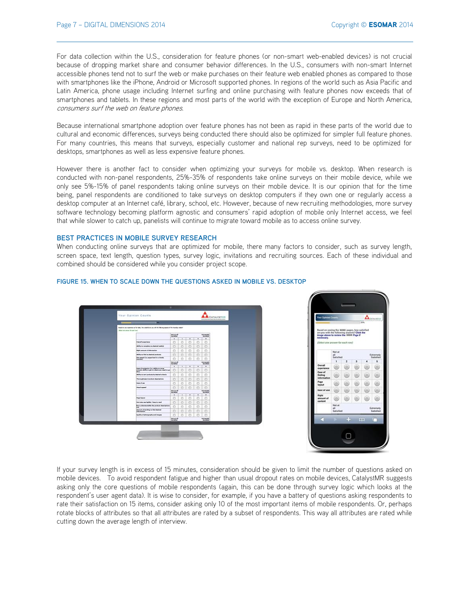O

For data collection within the U.S., consideration for feature phones (or non-smart web-enabled devices) is not crucial because of dropping market share and consumer behavior differences. In the U.S., consumers with non-smart Internet accessible phones tend not to surf the web or make purchases on their feature web enabled phones as compared to those with smartphones like the iPhone, Android or Microsoft supported phones. In regions of the world such as Asia Pacific and Latin America, phone usage including Internet surfing and online purchasing with feature phones now exceeds that of smartphones and tablets. In these regions and most parts of the world with the exception of Europe and North America, consumers surf the web on feature phones.

Because international smartphone adoption over feature phones has not been as rapid in these parts of the world due to cultural and economic differences, surveys being conducted there should also be optimized for simpler full feature phones. For many countries, this means that surveys, especially customer and national rep surveys, need to be optimized for desktops, smartphones as well as less expensive feature phones.

However there is another fact to consider when optimizing your surveys for mobile vs. desktop. When research is conducted with non-panel respondents, 25%-35% of respondents take online surveys on their mobile device, while we only see 5%-15% of panel respondents taking online surveys on their mobile device. It is our opinion that for the time being, panel respondents are conditioned to take surveys on desktop computers if they own one or regularly access a desktop computer at an Internet café, library, school, etc. However, because of new recruiting methodologies, more survey software technology becoming platform agnostic and consumers' rapid adoption of mobile only Internet access, we feel that while slower to catch up, panelists will continue to migrate toward mobile as to access online survey.

## **BEST PRACTICES IN MOBILE SURVEY RESEARCH**

When conducting online surveys that are optimized for mobile, there many factors to consider, such as survey length, screen space, text length, question types, survey logic, invitations and recruiting sources. Each of these individual and combined should be considered while you consider project scope.



#### **FIGURE 15. WHEN TO SCALE DOWN THE QUESTIONS ASKED IN MOBILE VS. DESKTOP**

If your survey length is in excess of 15 minutes, consideration should be given to limit the number of questions asked on mobile devices. To avoid respondent fatigue and higher than usual dropout rates on mobile devices, CatalystMR suggests asking only the core questions of mobile respondents (again, this can be done through survey logic which looks at the respondent's user agent data). It is wise to consider, for example, if you have a battery of questions asking respondents to rate their satisfaction on 15 items, consider asking only 10 of the most important items of mobile respondents. Or, perhaps rotate blocks of attributes so that all attributes are rated by a subset of respondents. This way all attributes are rated while cutting down the average length of interview.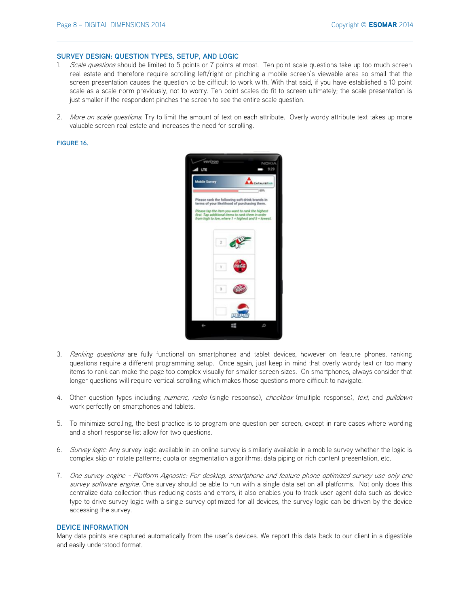#### **SURVEY DESIGN: QUESTION TYPES, SETUP, AND LOGIC**

- 1. Scale questions should be limited to 5 points or 7 points at most. Ten point scale questions take up too much screen real estate and therefore require scrolling left/right or pinching a mobile screen's viewable area so small that the screen presentation causes the question to be difficult to work with. With that said, if you have established a 10 point scale as a scale norm previously, not to worry. Ten point scales do fit to screen ultimately; the scale presentation is just smaller if the respondent pinches the screen to see the entire scale question.
- 2. More on scale questions. Try to limit the amount of text on each attribute. Overly wordy attribute text takes up more valuable screen real estate and increases the need for scrolling.

#### **FIGURE 16.**



- 3. Ranking questions are fully functional on smartphones and tablet devices, however on feature phones, ranking questions require a different programming setup. Once again, just keep in mind that overly wordy text or too many items to rank can make the page too complex visually for smaller screen sizes. On smartphones, always consider that longer questions will require vertical scrolling which makes those questions more difficult to navigate.
- 4. Other question types including numeric, radio (single response), checkbox (multiple response), text, and pulldown work perfectly on smartphones and tablets.
- 5. To minimize scrolling, the best practice is to program one question per screen, except in rare cases where wording and a short response list allow for two questions.
- 6. Survey logic: Any survey logic available in an online survey is similarly available in a mobile survey whether the logic is complex skip or rotate patterns; quota or segmentation algorithms; data piping or rich content presentation, etc.
- 7. One survey engine Platform Agnostic: For desktop, smartphone and feature phone optimized survey use only one survey software engine. One survey should be able to run with a single data set on all platforms. Not only does this centralize data collection thus reducing costs and errors, it also enables you to track user agent data such as device type to drive survey logic with a single survey optimized for all devices, the survey logic can be driven by the device accessing the survey.

# **DEVICE INFORMATION**

Many data points are captured automatically from the user's devices. We report this data back to our client in a digestible and easily understood format.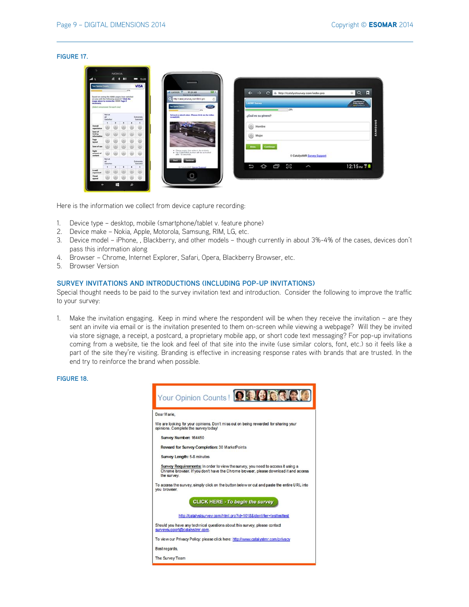#### **FIGURE 17.**

|                                                                                                                                                                                                       |                                 | NOICIA         |   |      |                              |                                                                                                                                                                   |               |
|-------------------------------------------------------------------------------------------------------------------------------------------------------------------------------------------------------|---------------------------------|----------------|---|------|------------------------------|-------------------------------------------------------------------------------------------------------------------------------------------------------------------|---------------|
|                                                                                                                                                                                                       |                                 | 4 <sup>1</sup> | п |      | $- 1520$                     |                                                                                                                                                                   |               |
| <b>Four Delmon Come</b>                                                                                                                                                                               |                                 |                |   |      | <b>VISA</b>                  |                                                                                                                                                                   |               |
|                                                                                                                                                                                                       |                                 |                |   | 1876 |                              | $\sum_{i=1}^{n}$<br><b>GARBER T.</b><br><b>REOVAIR</b><br>$\leftarrow$<br>6. http://catalystsurvey.com/index.pro<br>Ð<br>$\mathbf{C}$<br><b><i>RAWAYAWARA</i></b> | Π<br>Q        |
| Based on seeing the XXXX pages, how settled<br>are you with the following amenita? Class the<br>image above to review the XXXX Page if<br><b>NATIONAL AVE</b><br>(Select your answer for worth intel) |                                 |                |   |      |                              | Italystoney condent po<br><b>License</b> Survey<br>Œ                                                                                                              | <b>Report</b> |
|                                                                                                                                                                                                       | <b>Not at</b><br>æ<br>Satisfied |                |   |      | Extremely<br>Satuhed         | 29%<br>sec.<br>fatewir a short alian Please rich on the rider.<br>¿Cuál es su género?<br><b>Warehouse</b>                                                         |               |
| Overall                                                                                                                                                                                               |                                 |                |   |      |                              | o)<br>Hombre                                                                                                                                                      |               |
| esperience<br>Ease of<br>federal<br>informatio                                                                                                                                                        |                                 |                |   |      |                              | ω)<br>Mujer                                                                                                                                                       |               |
| Page<br>Isuzund                                                                                                                                                                                       |                                 |                |   |      |                              |                                                                                                                                                                   |               |
| Ease of use                                                                                                                                                                                           |                                 |                |   |      |                              | All des<br>Continue                                                                                                                                               |               |
| <b>Fight</b><br>amount of<br>contest                                                                                                                                                                  |                                 |                |   |      |                              | * Phone would the widow's the scribers<br>after 12 security.<br>© CatalystMR Survey, Support                                                                      |               |
|                                                                                                                                                                                                       | Not at<br>Satisfied             |                |   |      | Extramaty<br><b>Saturned</b> |                                                                                                                                                                   |               |
| to well                                                                                                                                                                                               |                                 |                |   |      |                              | 502<br>¢<br>Ō<br>J<br>ζ<br><b>Local Saver Support</b><br><b>Hart</b>                                                                                              | 12:15m TB     |
| organized<br>Vieue<br><b>ADDAM</b>                                                                                                                                                                    |                                 |                |   |      |                              | о                                                                                                                                                                 |               |
|                                                                                                                                                                                                       |                                 | ÷              |   | ۵    |                              |                                                                                                                                                                   |               |

Here is the information we collect from device capture recording:

- 1. Device type desktop, mobile (smartphone/tablet v. feature phone)
- 2. Device make Nokia, Apple, Motorola, Samsung, RIM, LG, etc.
- 3. Device model iPhone, , Blackberry, and other models though currently in about 3%-4% of the cases, devices don't pass this information along
- 4. Browser Chrome, Internet Explorer, Safari, Opera, Blackberry Browser, etc.
- 5. Browser Version

# **SURVEY INVITATIONS AND INTRODUCTIONS (INCLUDING POP-UP INVITATIONS)**

Special thought needs to be paid to the survey invitation text and introduction. Consider the following to improve the traffic to your survey:

1. Make the invitation engaging. Keep in mind where the respondent will be when they receive the invitation – are they sent an invite via email or is the invitation presented to them on-screen while viewing a webpage? Will they be invited via store signage, a receipt, a postcard, a proprietary mobile app, or short code text messaging? For pop-up invitations coming from a website, tie the look and feel of that site into the invite (use similar colors, font, etc.) so it feels like a part of the site they're visiting. Branding is effective in increasing response rates with brands that are trusted. In the end try to reinforce the brand when possible.

# **FIGURE 18.**

|                 | Your Opinion Counts!                                                                                                                                                   |
|-----------------|------------------------------------------------------------------------------------------------------------------------------------------------------------------------|
| Dear Marie.     |                                                                                                                                                                        |
|                 | We are looking for your opinions. Don't miss out on being rewarded for sharing your<br>opinions. Complete the surveytoday!                                             |
|                 | Survey Number: 164450                                                                                                                                                  |
|                 | Reward for Survey Completion: 30 Market Points                                                                                                                         |
|                 | Survey Length: 5-8 minutes                                                                                                                                             |
| the survey.     | Survey Requirements: In order to view the survey, you need to access it using a<br>Chrome browser. If you don't have the Chrome browser, please download it and access |
| you browser.    | To access the survey, simply click on the button below or cut and paste the entire URL into                                                                            |
|                 | <b>CLICK HERE - To begin the survey</b>                                                                                                                                |
|                 | http://catalystsurvey.com/html.pro?id=1018&identifier=testtesttest                                                                                                     |
|                 | Should you have any technical questions about this survey, please contact<br>surveysupport@catalystmr.com.                                                             |
|                 | To view our Privacy Policy: please click here; http://www.catalystmr.com/privacy                                                                                       |
| Best regards.   |                                                                                                                                                                        |
| The Survey Team |                                                                                                                                                                        |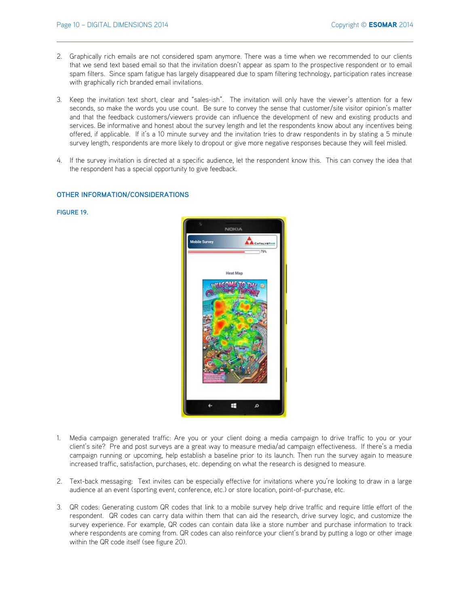- 2. Graphically rich emails are not considered spam anymore. There was a time when we recommended to our clients that we send text based email so that the invitation doesn't appear as spam to the prospective respondent or to email spam filters. Since spam fatigue has largely disappeared due to spam filtering technology, participation rates increase with graphically rich branded email invitations.
- 3. Keep the invitation text short, clear and "sales-ish". The invitation will only have the viewer's attention for a few seconds, so make the words you use count. Be sure to convey the sense that customer/site visitor opinion's matter and that the feedback customers/viewers provide can influence the development of new and existing products and services. Be informative and honest about the survey length and let the respondents know about any incentives being offered, if applicable. If it's a 10 minute survey and the invitation tries to draw respondents in by stating a 5 minute survey length, respondents are more likely to dropout or give more negative responses because they will feel misled.
- 4. If the survey invitation is directed at a specific audience, let the respondent know this. This can convey the idea that the respondent has a special opportunity to give feedback.

## **OTHER INFORMATION/CONSIDERATIONS**

## **FIGURE 19.**



- 1. Media campaign generated traffic: Are you or your client doing a media campaign to drive traffic to you or your client's site? Pre and post surveys are a great way to measure media/ad campaign effectiveness. If there's a media campaign running or upcoming, help establish a baseline prior to its launch. Then run the survey again to measure increased traffic, satisfaction, purchases, etc. depending on what the research is designed to measure.
- 2. Text-back messaging: Text invites can be especially effective for invitations where you're looking to draw in a large audience at an event (sporting event, conference, etc.) or store location, point-of-purchase, etc.
- 3. QR codes: Generating custom QR codes that link to a mobile survey help drive traffic and require little effort of the respondent. QR codes can carry data within them that can aid the research, drive survey logic, and customize the survey experience. For example, QR codes can contain data like a store number and purchase information to track where respondents are coming from. QR codes can also reinforce your client's brand by putting a logo or other image within the QR code itself (see figure 20).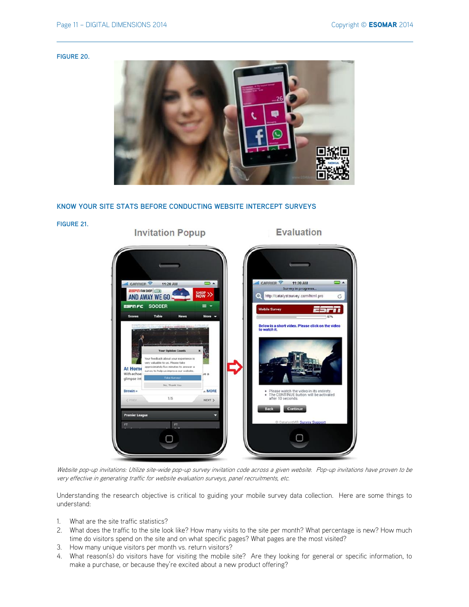#### **FIGURE 20.**



# **KNOW YOUR SITE STATS BEFORE CONDUCTING WEBSITE INTERCEPT SURVEYS**



Website pop-up invitations: Utilize site-wide pop-up survey invitation code across a given website. Pop-up invitations have proven to be very effective in generating traffic for website evaluation surveys, panel recruitments, etc.

Understanding the research objective is critical to guiding your mobile survey data collection. Here are some things to understand:

- 1. What are the site traffic statistics?
- 2. What does the traffic to the site look like? How many visits to the site per month? What percentage is new? How much time do visitors spend on the site and on what specific pages? What pages are the most visited?
- 3. How many unique visitors per month vs. return visitors?
- 4. What reason(s) do visitors have for visiting the mobile site? Are they looking for general or specific information, to make a purchase, or because they're excited about a new product offering?

**FIGURE 21.** 

**Invitation Popup** 

# **Evaluation**